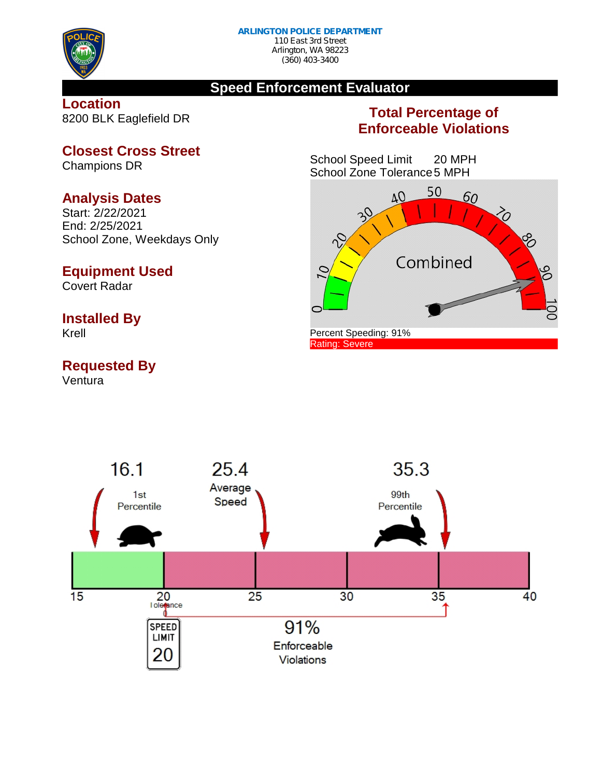

## **Speed Enforcement Evaluator**

**Location** 8200 BLK Eaglefield DR

# **Total Percentage of Enforceable Violations**

School Speed Limit 20 MPH School Zone Tolerance5 MPH





**Closest Cross Street**

Champions DR

## **Analysis Dates**

Start: 2/22/2021 End: 2/25/2021 School Zone, Weekdays Only

## **Equipment Used**

Covert Radar

## **Installed By**

Krell

## **Requested By**

Ventura